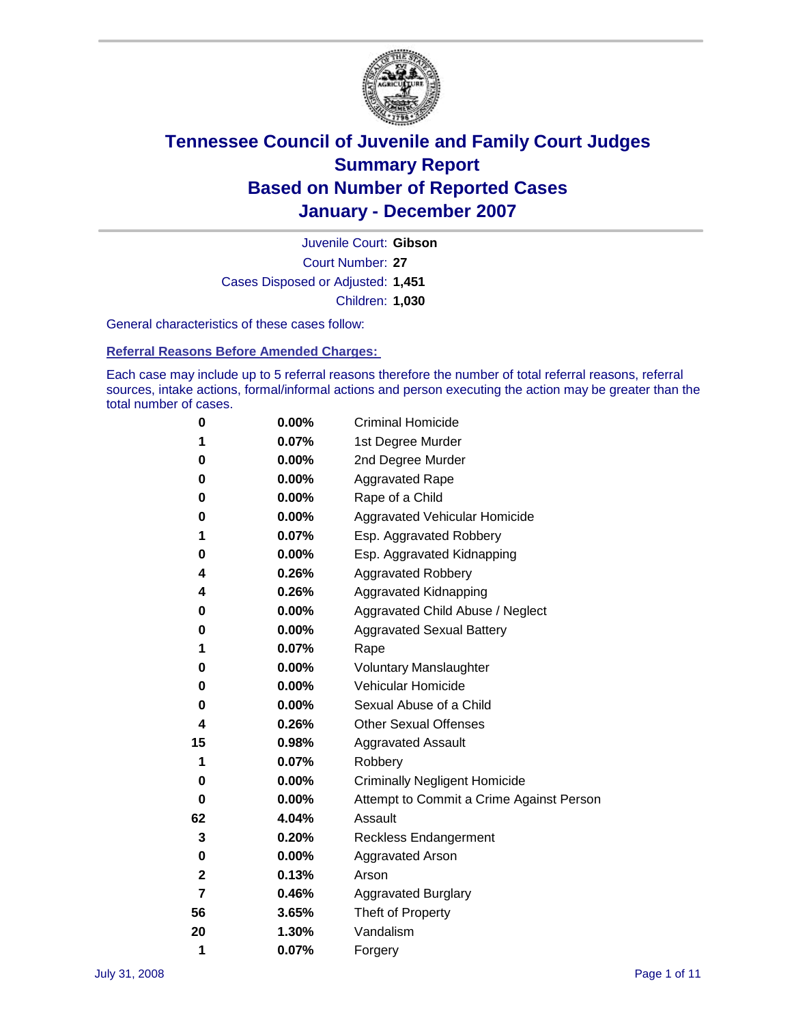

Court Number: **27** Juvenile Court: **Gibson** Cases Disposed or Adjusted: **1,451** Children: **1,030**

General characteristics of these cases follow:

**Referral Reasons Before Amended Charges:** 

Each case may include up to 5 referral reasons therefore the number of total referral reasons, referral sources, intake actions, formal/informal actions and person executing the action may be greater than the total number of cases.

| 0  | 0.00%    | <b>Criminal Homicide</b>                 |
|----|----------|------------------------------------------|
| 1  | 0.07%    | 1st Degree Murder                        |
| 0  | $0.00\%$ | 2nd Degree Murder                        |
| 0  | 0.00%    | <b>Aggravated Rape</b>                   |
| 0  | 0.00%    | Rape of a Child                          |
| 0  | 0.00%    | Aggravated Vehicular Homicide            |
| 1  | 0.07%    | Esp. Aggravated Robbery                  |
| 0  | 0.00%    | Esp. Aggravated Kidnapping               |
| 4  | 0.26%    | <b>Aggravated Robbery</b>                |
| 4  | 0.26%    | Aggravated Kidnapping                    |
| 0  | 0.00%    | Aggravated Child Abuse / Neglect         |
| 0  | $0.00\%$ | <b>Aggravated Sexual Battery</b>         |
| 1  | 0.07%    | Rape                                     |
| 0  | 0.00%    | <b>Voluntary Manslaughter</b>            |
| 0  | 0.00%    | Vehicular Homicide                       |
| 0  | 0.00%    | Sexual Abuse of a Child                  |
| 4  | 0.26%    | <b>Other Sexual Offenses</b>             |
| 15 | 0.98%    | <b>Aggravated Assault</b>                |
| 1  | 0.07%    | Robbery                                  |
| 0  | 0.00%    | <b>Criminally Negligent Homicide</b>     |
| 0  | 0.00%    | Attempt to Commit a Crime Against Person |
| 62 | 4.04%    | Assault                                  |
| 3  | 0.20%    | <b>Reckless Endangerment</b>             |
| 0  | 0.00%    | <b>Aggravated Arson</b>                  |
| 2  | 0.13%    | Arson                                    |
| 7  | 0.46%    | <b>Aggravated Burglary</b>               |
| 56 | 3.65%    | Theft of Property                        |
| 20 | 1.30%    | Vandalism                                |
| 1  | 0.07%    | Forgery                                  |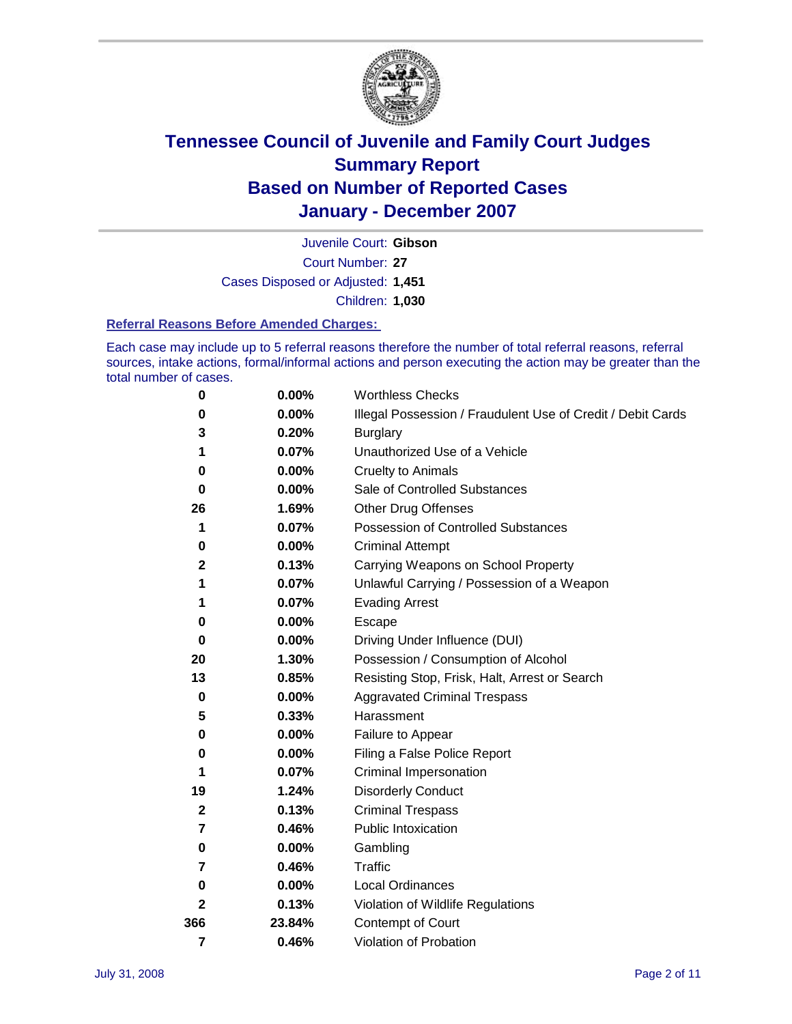

Court Number: **27** Juvenile Court: **Gibson** Cases Disposed or Adjusted: **1,451** Children: **1,030**

#### **Referral Reasons Before Amended Charges:**

Each case may include up to 5 referral reasons therefore the number of total referral reasons, referral sources, intake actions, formal/informal actions and person executing the action may be greater than the total number of cases.

| 0            | 0.00%    | <b>Worthless Checks</b>                                     |
|--------------|----------|-------------------------------------------------------------|
| 0            | 0.00%    | Illegal Possession / Fraudulent Use of Credit / Debit Cards |
| 3            | 0.20%    | <b>Burglary</b>                                             |
| 1            | 0.07%    | Unauthorized Use of a Vehicle                               |
| 0            | 0.00%    | <b>Cruelty to Animals</b>                                   |
| $\bf{0}$     | 0.00%    | Sale of Controlled Substances                               |
| 26           | 1.69%    | <b>Other Drug Offenses</b>                                  |
| 1            | 0.07%    | <b>Possession of Controlled Substances</b>                  |
| 0            | 0.00%    | <b>Criminal Attempt</b>                                     |
| 2            | 0.13%    | Carrying Weapons on School Property                         |
| 1            | 0.07%    | Unlawful Carrying / Possession of a Weapon                  |
| 1            | 0.07%    | <b>Evading Arrest</b>                                       |
| 0            | 0.00%    | Escape                                                      |
| 0            | 0.00%    | Driving Under Influence (DUI)                               |
| 20           | 1.30%    | Possession / Consumption of Alcohol                         |
| 13           | 0.85%    | Resisting Stop, Frisk, Halt, Arrest or Search               |
| $\bf{0}$     | 0.00%    | <b>Aggravated Criminal Trespass</b>                         |
| 5            | 0.33%    | Harassment                                                  |
| 0            | 0.00%    | Failure to Appear                                           |
| 0            | 0.00%    | Filing a False Police Report                                |
|              | 0.07%    | Criminal Impersonation                                      |
| 19           | 1.24%    | <b>Disorderly Conduct</b>                                   |
| $\mathbf{2}$ | 0.13%    | <b>Criminal Trespass</b>                                    |
| 7            | 0.46%    | <b>Public Intoxication</b>                                  |
| 0            | 0.00%    | Gambling                                                    |
| 7            | 0.46%    | Traffic                                                     |
| 0            | $0.00\%$ | <b>Local Ordinances</b>                                     |
| $\mathbf{2}$ | 0.13%    | Violation of Wildlife Regulations                           |
| 366          | 23.84%   | Contempt of Court                                           |
| 7            | 0.46%    | Violation of Probation                                      |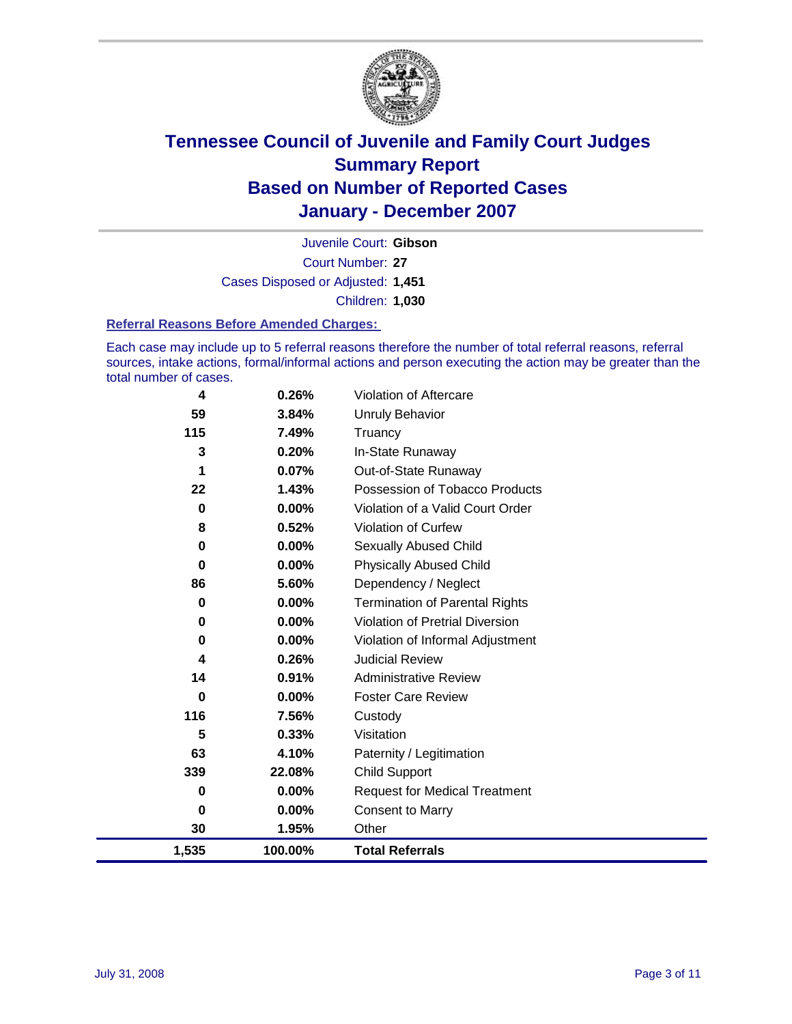

Court Number: **27** Juvenile Court: **Gibson** Cases Disposed or Adjusted: **1,451** Children: **1,030**

#### **Referral Reasons Before Amended Charges:**

Each case may include up to 5 referral reasons therefore the number of total referral reasons, referral sources, intake actions, formal/informal actions and person executing the action may be greater than the total number of cases.

| 4     | 0.26%   | Violation of Aftercare                 |
|-------|---------|----------------------------------------|
| 59    | 3.84%   | <b>Unruly Behavior</b>                 |
| 115   | 7.49%   | Truancy                                |
| 3     | 0.20%   | In-State Runaway                       |
| 1     | 0.07%   | Out-of-State Runaway                   |
| 22    | 1.43%   | Possession of Tobacco Products         |
| 0     | 0.00%   | Violation of a Valid Court Order       |
| 8     | 0.52%   | Violation of Curfew                    |
| 0     | 0.00%   | Sexually Abused Child                  |
| 0     | 0.00%   | <b>Physically Abused Child</b>         |
| 86    | 5.60%   | Dependency / Neglect                   |
| 0     | 0.00%   | <b>Termination of Parental Rights</b>  |
| 0     | 0.00%   | <b>Violation of Pretrial Diversion</b> |
| 0     | 0.00%   | Violation of Informal Adjustment       |
| 4     | 0.26%   | <b>Judicial Review</b>                 |
| 14    | 0.91%   | <b>Administrative Review</b>           |
| 0     | 0.00%   | <b>Foster Care Review</b>              |
| 116   | 7.56%   | Custody                                |
| 5     | 0.33%   | Visitation                             |
| 63    | 4.10%   | Paternity / Legitimation               |
| 339   | 22.08%  | <b>Child Support</b>                   |
| 0     | 0.00%   | <b>Request for Medical Treatment</b>   |
| 0     | 0.00%   | <b>Consent to Marry</b>                |
| 30    | 1.95%   | Other                                  |
| 1,535 | 100.00% | <b>Total Referrals</b>                 |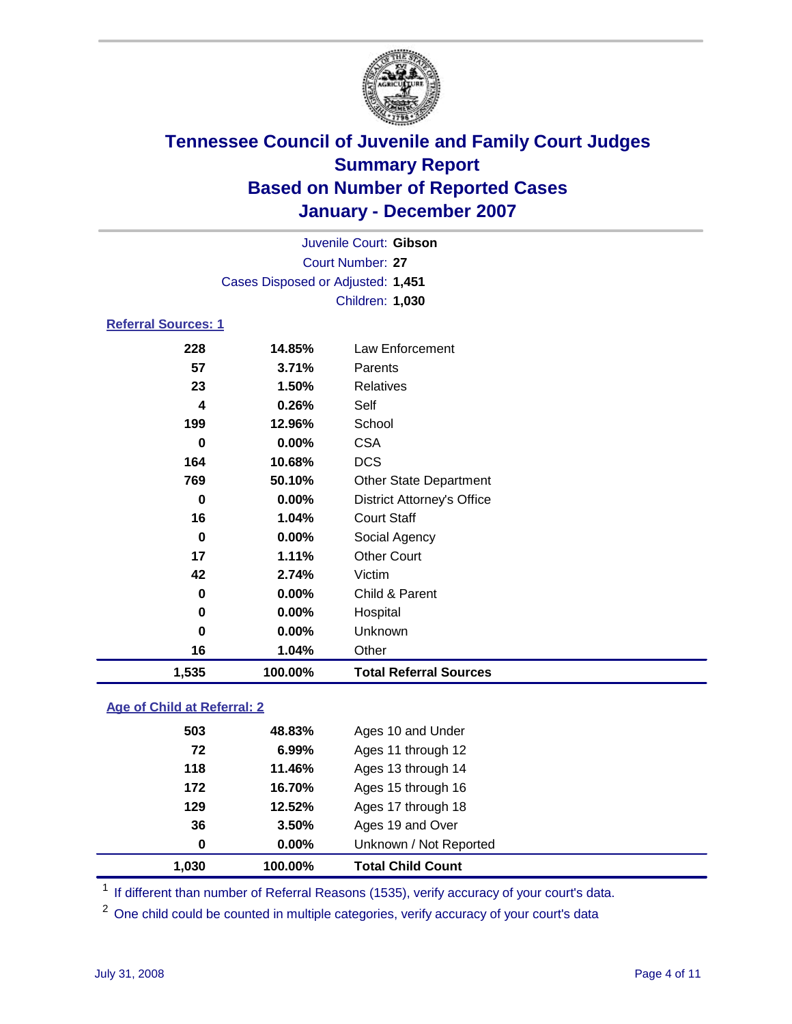

|                            |                  |                                   | Juvenile Court: Gibson |  |  |  |
|----------------------------|------------------|-----------------------------------|------------------------|--|--|--|
|                            | Court Number: 27 |                                   |                        |  |  |  |
|                            |                  | Cases Disposed or Adjusted: 1,451 |                        |  |  |  |
|                            |                  |                                   | Children: 1,030        |  |  |  |
| <b>Referral Sources: 1</b> |                  |                                   |                        |  |  |  |
|                            | 228              | 14.85%                            | Law Enforcement        |  |  |  |
|                            | 57               | 3.71%                             | Parents                |  |  |  |
|                            | 23               | $1.50\%$                          | <b>Relatives</b>       |  |  |  |

| 1,535 | 100.00% | <b>Total Referral Sources</b>     |
|-------|---------|-----------------------------------|
| 16    | 1.04%   | Other                             |
| 0     | 0.00%   | Unknown                           |
| 0     | 0.00%   | Hospital                          |
| 0     | 0.00%   | Child & Parent                    |
| 42    | 2.74%   | Victim                            |
| 17    | 1.11%   | <b>Other Court</b>                |
| 0     | 0.00%   | Social Agency                     |
| 16    | 1.04%   | <b>Court Staff</b>                |
| 0     | 0.00%   | <b>District Attorney's Office</b> |
| 769   | 50.10%  | <b>Other State Department</b>     |
| 164   | 10.68%  | <b>DCS</b>                        |
| 0     | 0.00%   | <b>CSA</b>                        |
| 199   | 12.96%  | School                            |
| 4     | 0.26%   | Self                              |
| 23    | 1.50%   | Relatives                         |

### **Age of Child at Referral: 2**

| 1.030 | 100.00%       | <b>Total Child Count</b> |
|-------|---------------|--------------------------|
|       | 0.00%<br>0    | Unknown / Not Reported   |
|       | 36<br>3.50%   | Ages 19 and Over         |
|       | 129<br>12.52% | Ages 17 through 18       |
|       | 172<br>16.70% | Ages 15 through 16       |
|       | 118<br>11.46% | Ages 13 through 14       |
|       | 6.99%<br>72   | Ages 11 through 12       |
|       | 503<br>48.83% | Ages 10 and Under        |
|       |               |                          |

<sup>1</sup> If different than number of Referral Reasons (1535), verify accuracy of your court's data.

One child could be counted in multiple categories, verify accuracy of your court's data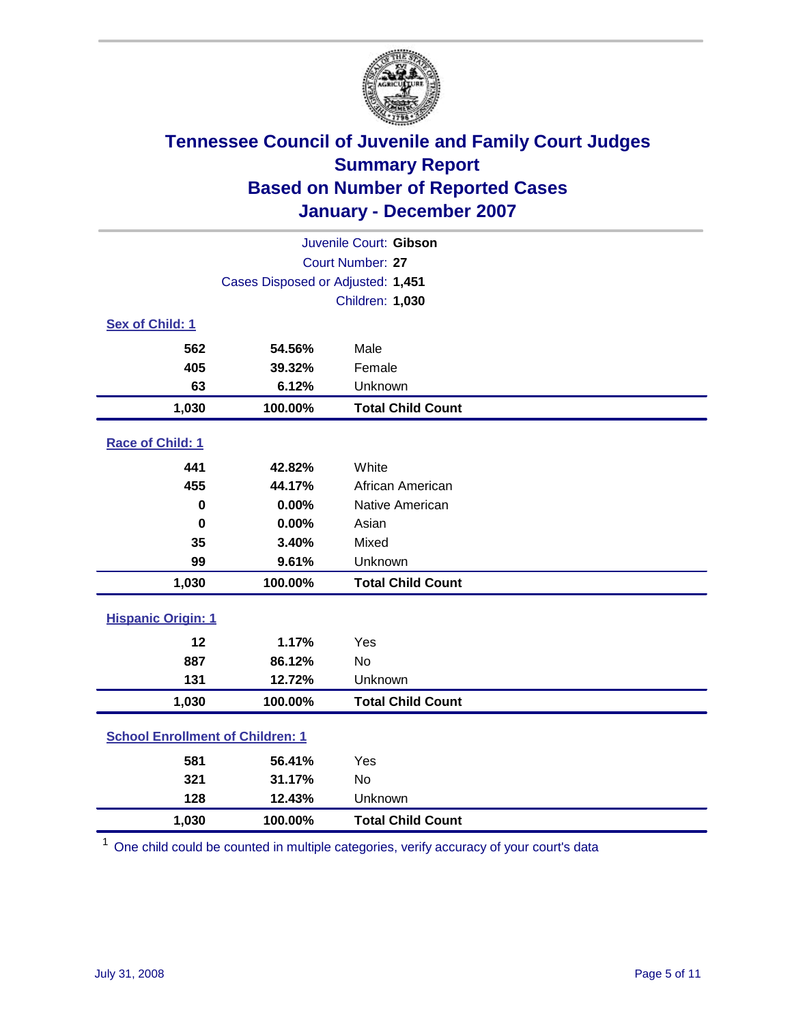

| Juvenile Court: Gibson                  |                                   |                          |  |  |  |
|-----------------------------------------|-----------------------------------|--------------------------|--|--|--|
| Court Number: 27                        |                                   |                          |  |  |  |
|                                         | Cases Disposed or Adjusted: 1,451 |                          |  |  |  |
|                                         |                                   | Children: 1,030          |  |  |  |
| Sex of Child: 1                         |                                   |                          |  |  |  |
| 562                                     | 54.56%                            | Male                     |  |  |  |
| 405                                     | 39.32%                            | Female                   |  |  |  |
| 63                                      | 6.12%                             | Unknown                  |  |  |  |
| 1,030                                   | 100.00%                           | <b>Total Child Count</b> |  |  |  |
| Race of Child: 1                        |                                   |                          |  |  |  |
| 441                                     | 42.82%                            | White                    |  |  |  |
| 455                                     | 44.17%                            | African American         |  |  |  |
| 0                                       | 0.00%                             | Native American          |  |  |  |
| $\mathbf 0$                             | 0.00%                             | Asian                    |  |  |  |
| 35                                      | 3.40%                             | Mixed                    |  |  |  |
| 99                                      | 9.61%                             | Unknown                  |  |  |  |
| 1,030                                   | 100.00%                           | <b>Total Child Count</b> |  |  |  |
| <b>Hispanic Origin: 1</b>               |                                   |                          |  |  |  |
| 12                                      | 1.17%                             | Yes                      |  |  |  |
| 887                                     | 86.12%                            | <b>No</b>                |  |  |  |
| 131                                     | 12.72%                            | Unknown                  |  |  |  |
| 1,030                                   | 100.00%                           | <b>Total Child Count</b> |  |  |  |
| <b>School Enrollment of Children: 1</b> |                                   |                          |  |  |  |
| 581                                     | 56.41%                            | Yes                      |  |  |  |
| 321                                     | 31.17%                            | No                       |  |  |  |
| 128                                     | 12.43%                            | Unknown                  |  |  |  |
| 1,030                                   | 100.00%                           | <b>Total Child Count</b> |  |  |  |

 $1$  One child could be counted in multiple categories, verify accuracy of your court's data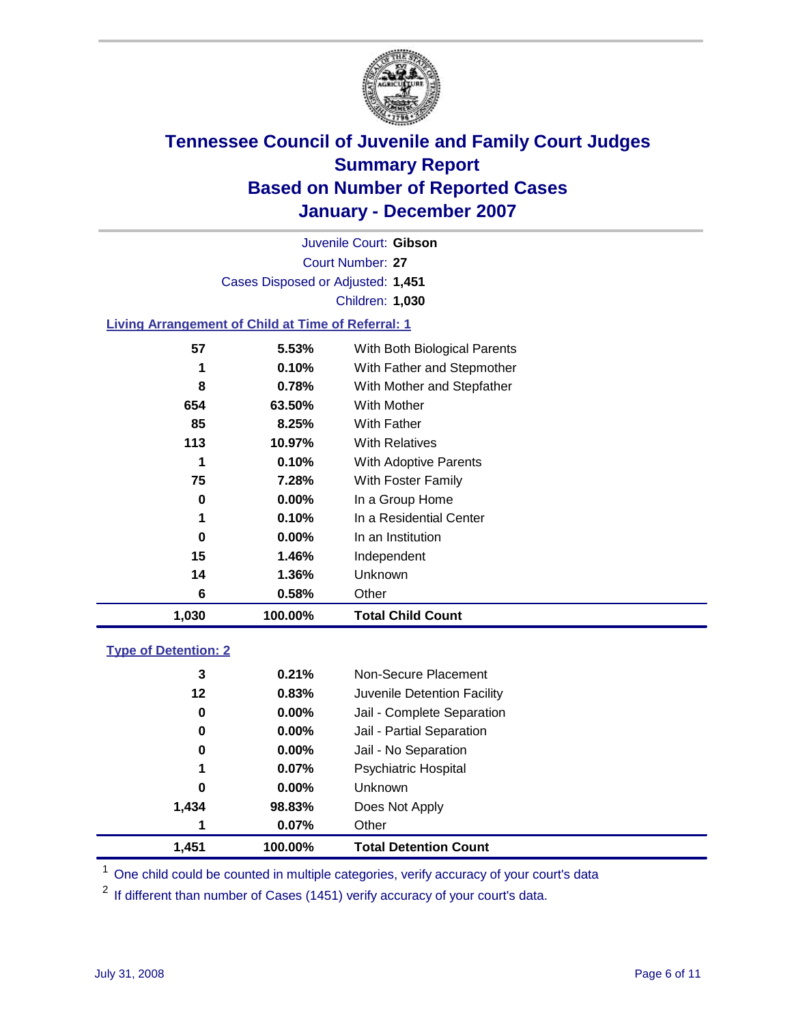

Court Number: **27** Juvenile Court: **Gibson** Cases Disposed or Adjusted: **1,451** Children: **1,030**

### **Living Arrangement of Child at Time of Referral: 1**

| 1,030 | 100.00%  | <b>Total Child Count</b>     |
|-------|----------|------------------------------|
| 6     | 0.58%    | Other                        |
| 14    | 1.36%    | Unknown                      |
| 15    | 1.46%    | Independent                  |
| 0     | $0.00\%$ | In an Institution            |
| 1     | 0.10%    | In a Residential Center      |
| 0     | $0.00\%$ | In a Group Home              |
| 75    | 7.28%    | With Foster Family           |
| 1     | 0.10%    | With Adoptive Parents        |
| 113   | 10.97%   | <b>With Relatives</b>        |
| 85    | 8.25%    | With Father                  |
| 654   | 63.50%   | With Mother                  |
| 8     | 0.78%    | With Mother and Stepfather   |
|       | 0.10%    | With Father and Stepmother   |
| 57    | 5.53%    | With Both Biological Parents |
|       |          |                              |

#### **Type of Detention: 2**

| 1,451 | 100.00%  | <b>Total Detention Count</b> |  |
|-------|----------|------------------------------|--|
| 1     | 0.07%    | Other                        |  |
| 1,434 | 98.83%   | Does Not Apply               |  |
| 0     | $0.00\%$ | <b>Unknown</b>               |  |
| 1     | 0.07%    | <b>Psychiatric Hospital</b>  |  |
| 0     | 0.00%    | Jail - No Separation         |  |
| 0     | $0.00\%$ | Jail - Partial Separation    |  |
| 0     | $0.00\%$ | Jail - Complete Separation   |  |
| 12    | 0.83%    | Juvenile Detention Facility  |  |
| 3     | 0.21%    | Non-Secure Placement         |  |
|       |          |                              |  |

<sup>1</sup> One child could be counted in multiple categories, verify accuracy of your court's data

<sup>2</sup> If different than number of Cases (1451) verify accuracy of your court's data.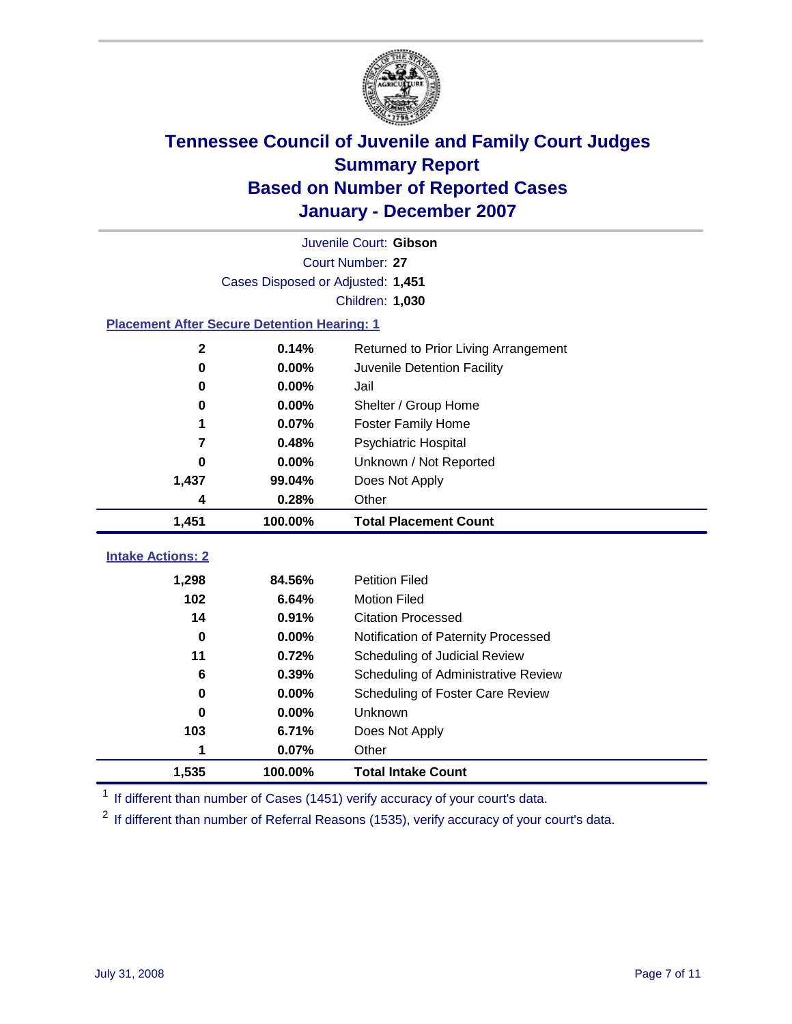

|                                                    | Juvenile Court: Gibson            |                                      |  |  |  |
|----------------------------------------------------|-----------------------------------|--------------------------------------|--|--|--|
| Court Number: 27                                   |                                   |                                      |  |  |  |
|                                                    | Cases Disposed or Adjusted: 1,451 |                                      |  |  |  |
|                                                    |                                   | Children: 1,030                      |  |  |  |
| <b>Placement After Secure Detention Hearing: 1</b> |                                   |                                      |  |  |  |
| $\mathbf 2$                                        | 0.14%                             | Returned to Prior Living Arrangement |  |  |  |
| $\bf{0}$                                           | 0.00%                             | Juvenile Detention Facility          |  |  |  |
| $\bf{0}$                                           | 0.00%                             | Jail                                 |  |  |  |
| 0                                                  | 0.00%                             | Shelter / Group Home                 |  |  |  |
| 1                                                  | 0.07%                             | <b>Foster Family Home</b>            |  |  |  |
| 7                                                  | 0.48%                             | Psychiatric Hospital                 |  |  |  |
| 0                                                  | 0.00%                             | Unknown / Not Reported               |  |  |  |
| 1,437                                              | 99.04%                            | Does Not Apply                       |  |  |  |
| 4                                                  | 0.28%                             | Other                                |  |  |  |
| 1,451                                              | 100.00%                           | <b>Total Placement Count</b>         |  |  |  |
| <b>Intake Actions: 2</b>                           |                                   |                                      |  |  |  |
| 1,298                                              | 84.56%                            | <b>Petition Filed</b>                |  |  |  |
| 102                                                | 6.64%                             | <b>Motion Filed</b>                  |  |  |  |
| 14                                                 | 0.91%                             | <b>Citation Processed</b>            |  |  |  |
| $\bf{0}$                                           | 0.00%                             | Notification of Paternity Processed  |  |  |  |
| 11                                                 | 0.72%                             | Scheduling of Judicial Review        |  |  |  |
| 6                                                  | 0.39%                             | Scheduling of Administrative Review  |  |  |  |
| 0                                                  | 0.00%                             | Scheduling of Foster Care Review     |  |  |  |
| 0                                                  | 0.00%                             | Unknown                              |  |  |  |
| 103                                                |                                   | Does Not Apply                       |  |  |  |
|                                                    | 6.71%                             |                                      |  |  |  |
| 1                                                  | 0.07%                             | Other                                |  |  |  |

<sup>1</sup> If different than number of Cases (1451) verify accuracy of your court's data.

<sup>2</sup> If different than number of Referral Reasons (1535), verify accuracy of your court's data.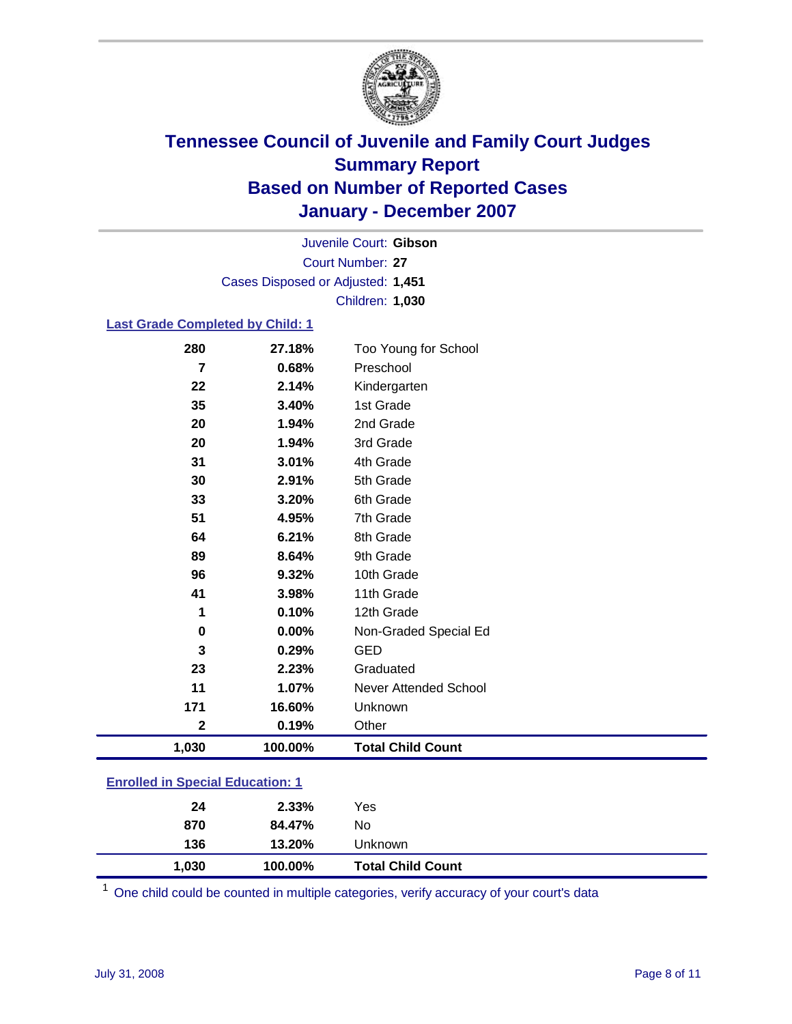

Court Number: **27** Juvenile Court: **Gibson** Cases Disposed or Adjusted: **1,451** Children: **1,030**

### **Last Grade Completed by Child: 1**

| 280         | 27.18%  | Too Young for School     |
|-------------|---------|--------------------------|
| 7           | 0.68%   | Preschool                |
| 22          | 2.14%   | Kindergarten             |
| 35          | 3.40%   | 1st Grade                |
| 20          | 1.94%   | 2nd Grade                |
| 20          | 1.94%   | 3rd Grade                |
| 31          | 3.01%   | 4th Grade                |
| 30          | 2.91%   | 5th Grade                |
| 33          | 3.20%   | 6th Grade                |
| 51          | 4.95%   | 7th Grade                |
| 64          | 6.21%   | 8th Grade                |
| 89          | 8.64%   | 9th Grade                |
| 96          | 9.32%   | 10th Grade               |
| 41          | 3.98%   | 11th Grade               |
| 1           | 0.10%   | 12th Grade               |
| 0           | 0.00%   | Non-Graded Special Ed    |
| 3           | 0.29%   | <b>GED</b>               |
| 23          | 2.23%   | Graduated                |
| 11          | 1.07%   | Never Attended School    |
| 171         | 16.60%  | Unknown                  |
| $\mathbf 2$ | 0.19%   | Other                    |
| 1,030       | 100.00% | <b>Total Child Count</b> |

### **Enrolled in Special Education: 1**

| 870   | 84.47%  | No                       |  |
|-------|---------|--------------------------|--|
| 136   | 13.20%  | Unknown                  |  |
| 1,030 | 100.00% | <b>Total Child Count</b> |  |

<sup>1</sup> One child could be counted in multiple categories, verify accuracy of your court's data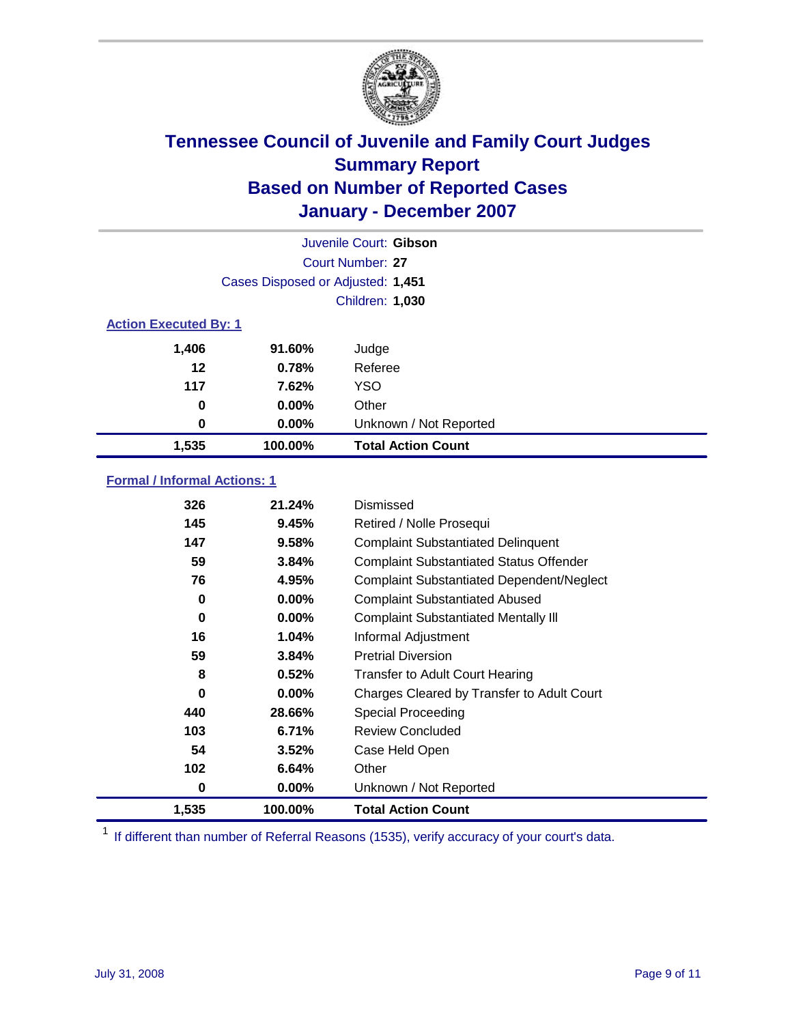

|                              |                                   | Juvenile Court: Gibson    |  |  |
|------------------------------|-----------------------------------|---------------------------|--|--|
|                              | Court Number: 27                  |                           |  |  |
|                              | Cases Disposed or Adjusted: 1,451 |                           |  |  |
|                              |                                   | <b>Children: 1,030</b>    |  |  |
| <b>Action Executed By: 1</b> |                                   |                           |  |  |
| 1,406                        | 91.60%                            | Judge                     |  |  |
| 12                           | 0.78%                             | Referee                   |  |  |
| 117                          | 7.62%                             | <b>YSO</b>                |  |  |
| 0                            | $0.00\%$                          | Other                     |  |  |
| 0                            | $0.00\%$                          | Unknown / Not Reported    |  |  |
| 1,535                        | 100.00%                           | <b>Total Action Count</b> |  |  |

### **Formal / Informal Actions: 1**

| 326   | 21.24%   | Dismissed                                        |
|-------|----------|--------------------------------------------------|
| 145   | 9.45%    | Retired / Nolle Prosequi                         |
| 147   | 9.58%    | <b>Complaint Substantiated Delinquent</b>        |
| 59    | 3.84%    | <b>Complaint Substantiated Status Offender</b>   |
| 76    | 4.95%    | <b>Complaint Substantiated Dependent/Neglect</b> |
| 0     | $0.00\%$ | <b>Complaint Substantiated Abused</b>            |
| 0     | $0.00\%$ | <b>Complaint Substantiated Mentally III</b>      |
| 16    | 1.04%    | Informal Adjustment                              |
| 59    | 3.84%    | <b>Pretrial Diversion</b>                        |
| 8     | 0.52%    | <b>Transfer to Adult Court Hearing</b>           |
| 0     | $0.00\%$ | Charges Cleared by Transfer to Adult Court       |
| 440   | 28.66%   | Special Proceeding                               |
| 103   | 6.71%    | <b>Review Concluded</b>                          |
| 54    | 3.52%    | Case Held Open                                   |
| 102   | 6.64%    | Other                                            |
| 0     | $0.00\%$ | Unknown / Not Reported                           |
| 1,535 | 100.00%  | <b>Total Action Count</b>                        |

<sup>1</sup> If different than number of Referral Reasons (1535), verify accuracy of your court's data.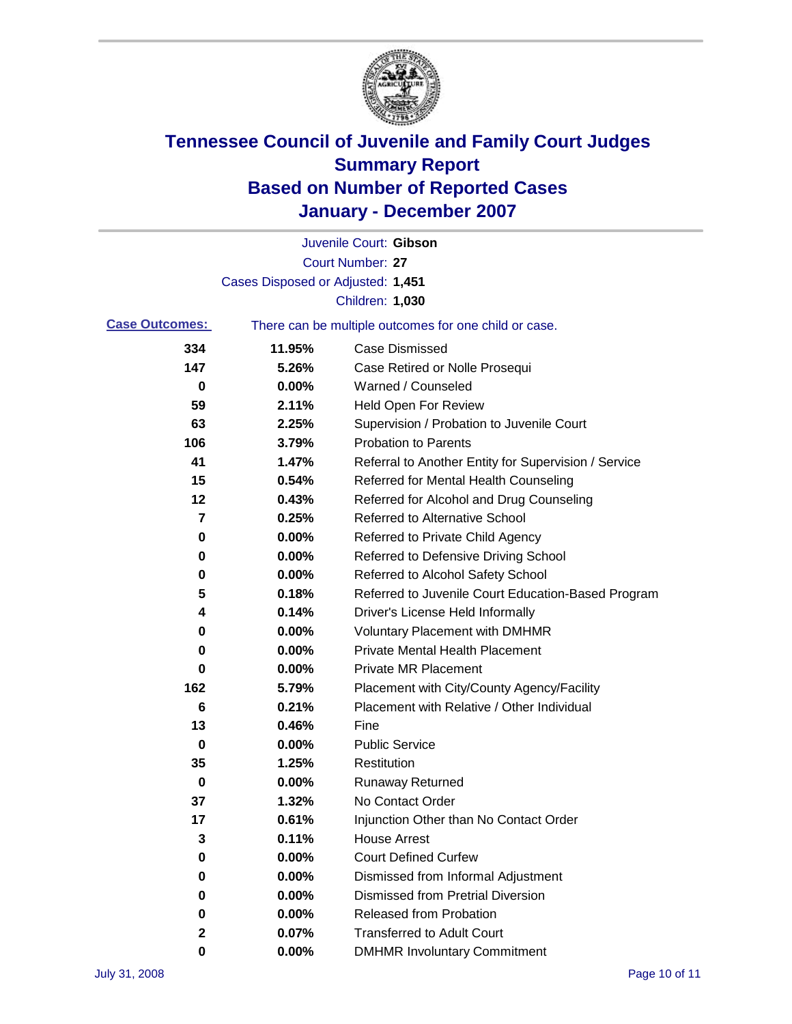

|                       |                                   | Juvenile Court: Gibson                                |
|-----------------------|-----------------------------------|-------------------------------------------------------|
|                       |                                   | Court Number: 27                                      |
|                       | Cases Disposed or Adjusted: 1,451 |                                                       |
|                       |                                   | Children: 1,030                                       |
| <b>Case Outcomes:</b> |                                   | There can be multiple outcomes for one child or case. |
| 334                   | 11.95%                            | <b>Case Dismissed</b>                                 |
| 147                   | 5.26%                             | Case Retired or Nolle Prosequi                        |
| 0                     | 0.00%                             | Warned / Counseled                                    |
| 59                    | 2.11%                             | <b>Held Open For Review</b>                           |
| 63                    | 2.25%                             | Supervision / Probation to Juvenile Court             |
| 106                   | 3.79%                             | <b>Probation to Parents</b>                           |
| 41                    | 1.47%                             | Referral to Another Entity for Supervision / Service  |
| 15                    | 0.54%                             | Referred for Mental Health Counseling                 |
| 12                    | 0.43%                             | Referred for Alcohol and Drug Counseling              |
| 7                     | 0.25%                             | <b>Referred to Alternative School</b>                 |
| 0                     | 0.00%                             | Referred to Private Child Agency                      |
| 0                     | 0.00%                             | Referred to Defensive Driving School                  |
| 0                     | 0.00%                             | Referred to Alcohol Safety School                     |
| 5                     | 0.18%                             | Referred to Juvenile Court Education-Based Program    |
| 4                     | 0.14%                             | Driver's License Held Informally                      |
| 0                     | 0.00%                             | <b>Voluntary Placement with DMHMR</b>                 |
| 0                     | 0.00%                             | <b>Private Mental Health Placement</b>                |
| 0                     | 0.00%                             | <b>Private MR Placement</b>                           |
| 162                   | 5.79%                             | Placement with City/County Agency/Facility            |
| 6                     | 0.21%                             | Placement with Relative / Other Individual            |
| 13                    | 0.46%                             | Fine                                                  |
| 0                     | 0.00%                             | <b>Public Service</b>                                 |
| 35                    | 1.25%                             | Restitution                                           |
| 0                     | 0.00%                             | <b>Runaway Returned</b>                               |
| 37                    | 1.32%                             | No Contact Order                                      |
| 17                    | 0.61%                             | Injunction Other than No Contact Order                |
| 3                     | 0.11%                             | <b>House Arrest</b>                                   |
| 0                     | 0.00%                             | <b>Court Defined Curfew</b>                           |
| 0                     | 0.00%                             | Dismissed from Informal Adjustment                    |
| 0                     | 0.00%                             | <b>Dismissed from Pretrial Diversion</b>              |
| 0                     | 0.00%                             | <b>Released from Probation</b>                        |
| 2                     | 0.07%                             | <b>Transferred to Adult Court</b>                     |
| 0                     | 0.00%                             | <b>DMHMR Involuntary Commitment</b>                   |